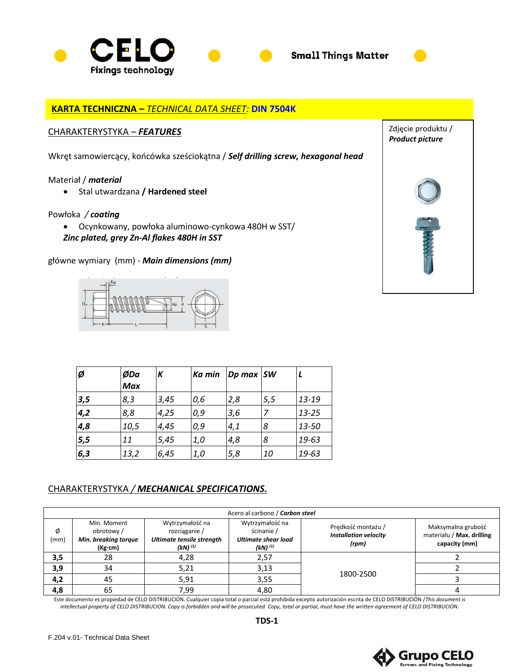



Zdjęcie produktu / *Product picture*

# **KARTA TECHNICZNA –** *TECHNICAL DATA SHEET:* **DIN 7504K**

### CHARAKTERYSTYKA – *FEATURES*

Wkręt samowiercący, końcówka sześciokątna / *Self drilling screw, hexagonal head*

#### Materiał / *material*

• Stal utwardzana **/ Hardened steel**

#### Powłoka */ coating*

- Ocynkowany, powłoka aluminowo-cynkowa 480H w SST/
- *Zinc plated, grey Zn-Al flakes 480H in SST*

główne wymiary (mm) *- Main dimensions (mm)*



| Ø   | ØDa<br><b>Max</b> | К    | Ka min | Dp max SW |     |           |
|-----|-------------------|------|--------|-----------|-----|-----------|
| 3,5 | 8,3               | 3,45 | 0,6    | 2,8       | 5,5 | 13-19     |
| 4,2 | 8,8               | 4,25 | 0,9    | 3,6       |     | $13 - 25$ |
| 4,8 | 10,5              | 4,45 | 0,9    | 4,1       | 8   | 13-50     |
| 5,5 | 11                | 5,45 | 1,0    | 4,8       | 8   | 19-63     |
| 6,3 | 13,2              | 6,45 | 1,0    | 5,8       | 10  | 19-63     |

# CHARAKTERYSTYKA */ MECHANICAL SPECIFICATIONS.*

|           |                                                             |                                                                               | Acero al carbono / Carbon steel                                             |                                                             |                                                                  |
|-----------|-------------------------------------------------------------|-------------------------------------------------------------------------------|-----------------------------------------------------------------------------|-------------------------------------------------------------|------------------------------------------------------------------|
| Ø<br>(mm) | Min. Moment<br>obrotowy/<br>Min. breaking torque<br>(Kg·cm) | Wytrzymałość na<br>rozciaganie /<br>Ultimate tensile strength<br>$(kN)^{(1)}$ | Wytrzymałość na<br>ścinanie /<br><b>Ultimate shear load</b><br>$(kN)^{(1)}$ | Prędkość montażu /<br><b>Installation velocity</b><br>(rpm) | Maksymalna grubość<br>materiału / Max. drilling<br>capacity (mm) |
| 3,5       | 28                                                          | 4,28                                                                          | 2,57                                                                        |                                                             |                                                                  |
| 3,9       | 34                                                          | 5,21                                                                          | 3,13                                                                        | 1800-2500                                                   |                                                                  |
| 4,2       | 45                                                          | 5.91                                                                          | 3,55                                                                        |                                                             |                                                                  |
| 4,8       | 65                                                          | 7.99                                                                          | 4,80                                                                        |                                                             |                                                                  |

Este documento es propiedad de CELO DISTRIBUCIÓN. Cualquier copia total o parcial está prohibida excepto autorización escrita de CELO DISTRIBUCIÓN /*This document is intellectual property of CELO DISTRIBUCION. Copy is forbidden and will be prosecuted. Copy, total or partial, must have the written agreement of CELO DISTRIBUCION.*